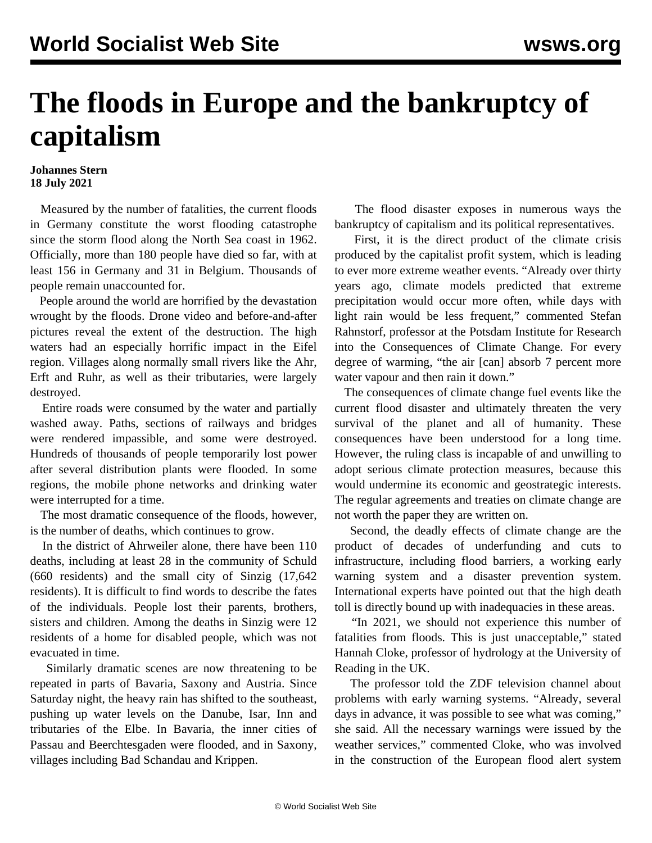## **The floods in Europe and the bankruptcy of capitalism**

## **Johannes Stern 18 July 2021**

 Measured by the number of fatalities, the current floods in Germany constitute the worst flooding catastrophe since the storm flood along the North Sea coast in 1962. Officially, more than 180 people have died so far, with at least 156 in Germany and 31 in Belgium. Thousands of people remain unaccounted for.

 People around the world are horrified by the devastation wrought by the floods. Drone video and before-and-after pictures reveal the extent of the destruction. The high waters had an especially horrific impact in the Eifel region. Villages along normally small rivers like the Ahr, Erft and Ruhr, as well as their tributaries, were largely destroyed.

 Entire roads were consumed by the water and partially washed away. Paths, sections of railways and bridges were rendered impassible, and some were destroyed. Hundreds of thousands of people temporarily lost power after several distribution plants were flooded. In some regions, the mobile phone networks and drinking water were interrupted for a time.

 The most dramatic consequence of the floods, however, is the number of deaths, which continues to grow.

 In the district of Ahrweiler alone, there have been 110 deaths, including at least 28 in the community of Schuld (660 residents) and the small city of Sinzig (17,642 residents). It is difficult to find words to describe the fates of the individuals. People lost their parents, brothers, sisters and children. Among the deaths in Sinzig were 12 residents of a home for disabled people, which was not evacuated in time.

 Similarly dramatic scenes are now threatening to be repeated in parts of Bavaria, Saxony and Austria. Since Saturday night, the heavy rain has shifted to the southeast, pushing up water levels on the Danube, Isar, Inn and tributaries of the Elbe. In Bavaria, the inner cities of Passau and Beerchtesgaden were flooded, and in Saxony, villages including Bad Schandau and Krippen.

 The flood disaster exposes in numerous ways the bankruptcy of capitalism and its political representatives.

 First, it is the direct product of the climate crisis produced by the capitalist profit system, which is leading to ever more extreme weather events. "Already over thirty years ago, climate models predicted that extreme precipitation would occur more often, while days with light rain would be less frequent," commented Stefan Rahnstorf, professor at the Potsdam Institute for Research into the Consequences of Climate Change. For every degree of warming, "the air [can] absorb 7 percent more water vapour and then rain it down."

 The consequences of climate change fuel events like the current flood disaster and ultimately threaten the very survival of the planet and all of humanity. These consequences have been understood for a long time. However, the ruling class is incapable of and unwilling to adopt serious climate protection measures, because this would undermine its economic and geostrategic interests. The regular agreements and treaties on climate change are not worth the paper they are written on.

 Second, the deadly effects of climate change are the product of decades of underfunding and cuts to infrastructure, including flood barriers, a working early warning system and a disaster prevention system. International experts have pointed out that the high death toll is directly bound up with inadequacies in these areas.

 "In 2021, we should not experience this number of fatalities from floods. This is just unacceptable," stated Hannah Cloke, professor of hydrology at the University of Reading in the UK.

 The professor told the ZDF television channel about problems with early warning systems. "Already, several days in advance, it was possible to see what was coming," she said. All the necessary warnings were issued by the weather services," commented Cloke, who was involved in the construction of the European flood alert system